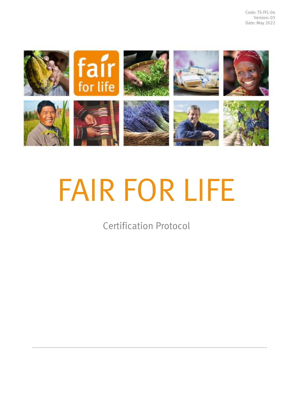

# FAIR FOR LIFE

Certification Protocol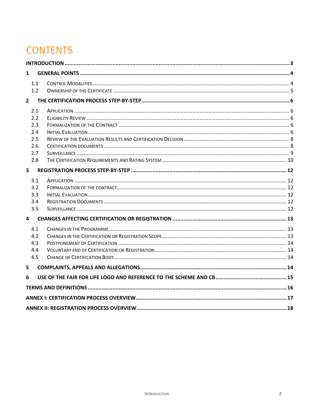# **CONTENTS**

| 1                       |  |  |  |
|-------------------------|--|--|--|
| 1.1                     |  |  |  |
| 1.2                     |  |  |  |
| $\overline{\mathbf{2}}$ |  |  |  |
| 2.1                     |  |  |  |
| 2.2                     |  |  |  |
| 2.3                     |  |  |  |
| 2.4                     |  |  |  |
| 2.5                     |  |  |  |
| 2.6                     |  |  |  |
| 2.7                     |  |  |  |
| 2.8                     |  |  |  |
| 3                       |  |  |  |
| 3.1                     |  |  |  |
| 3.2                     |  |  |  |
| 3.3                     |  |  |  |
| 3.4                     |  |  |  |
| 3.5                     |  |  |  |
| 4                       |  |  |  |
| 4.1                     |  |  |  |
| 4.2                     |  |  |  |
| 4.3                     |  |  |  |
| 4.4                     |  |  |  |
| 4.5                     |  |  |  |
| 5                       |  |  |  |
| 6                       |  |  |  |
|                         |  |  |  |
|                         |  |  |  |
|                         |  |  |  |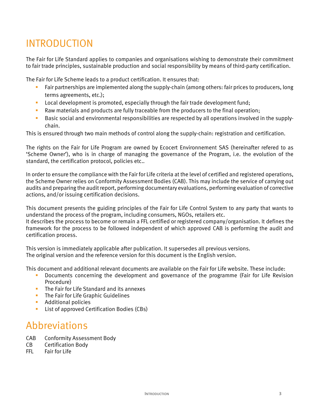# <span id="page-2-0"></span>INTRODUCTION

The Fair for Life Standard applies to companies and organisations wishing to demonstrate their commitment to fair trade principles, sustainable production and social responsibility by means of third-party certification.

The Fair for Life Scheme leads to a product certification. It ensures that:

- Fair partnerships are implemented along the supply-chain (among others: fair prices to producers, long terms agreements, etc.);
- **Local development is promoted, especially through the fair trade development fund;**
- Raw materials and products are fully traceable from the producers to the final operation;
- Basic social and environmental responsibilities are respected by all operations involved in the supplychain.

This is ensured through two main methods of control along the supply-chain: registration and certification.

The rights on the Fair for Life Program are owned by Ecocert Environnement SAS (hereinafter refered to as 'Scheme Owner'), who is in charge of managing the governance of the Program, i.e. the evolution of the standard, the certification protocol, policies etc..

In order to ensure the compliance with the Fair for Life criteria at the level of certified and registered operations, the Scheme Owner relies on Conformity Assessment Bodies (CAB). This may include the service of carrying out audits and preparing the audit report, performing documentary evaluations, performing evaluation of corrective actions, and/or issuing certification decisions.

This document presents the guiding principles of the Fair for Life Control System to any party that wants to understand the process of the program, including consumers, NGOs, retailers etc. It describes the process to become or remain a FFL certified or registered company/organisation. It defines the framework for the process to be followed independent of which approved CAB is performing the audit and certification process.

This version is immediately applicable after publication. It supersedes all previous versions. The original version and the reference version for this document is the English version.

This document and additional relevant documents are available on the Fair for Life website. These include:

- Documents concerning the development and governance of the programme (Fair for Life Revision Procedure)
- **The Fair for Life Standard and its annexes**
- **The Fair for Life Graphic Guidelines**
- **Additional policies**
- **List of approved Certification Bodies (CBs)**

## Abbreviations

- CAB Conformity Assessment Body
- CB Certification Body
- FFL Fair for Life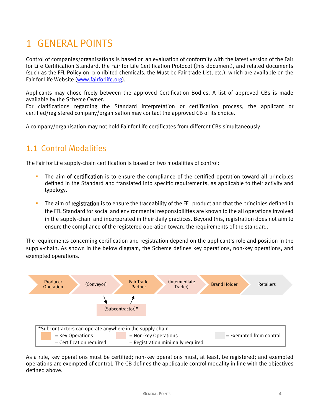# <span id="page-3-0"></span>1 GENERAL POINTS

Control of companies/organisations is based on an evaluation of conformity with the latest version of the Fair for Life Certification Standard, the Fair for Life Certification Protocol (this document), and related documents (such as the FFL Policy on prohibited chemicals, the Must be Fair trade List, etc.), which are available on the Fair for Life Website [\(www.fairforlife.org\)](http://www.fairforlife.net/).

Applicants may chose freely between the approved Certification Bodies. A list of approved CBs is made available by the Scheme Owner.

For clarifications regarding the Standard interpretation or certification process, the applicant or certified/registered company/organisation may contact the approved CB of its choice.

A company/organisation may not hold Fair for Life certificates from different CBs simultaneously.

## <span id="page-3-1"></span>1.1 Control Modalities

The Fair for Life supply-chain certification is based on two modalities of control:

- The aim of certification is to ensure the compliance of the certified operation toward all principles defined in the Standard and translated into specific requirements, as applicable to their activity and typology.
- The aim of registration is to ensure the traceability of the FFL product and that the principles defined in the FFL Standard for social and environmental responsibilities are known to the all operations involved in the supply-chain and incorporated in their daily practices. Beyond this, registration does not aim to ensure the compliance of the registered operation toward the requirements of the standard.

The requirements concerning certification and registration depend on the applicant's role and position in the supply-chain. As shown in the below diagram, the Scheme defines key operations, non-key operations, and exempted operations.



As a rule, key operations must be certified; non-key operations must, at least, be registered; and exempted operations are exempted of control. The CB defines the applicable control modality in line with the objectives defined above.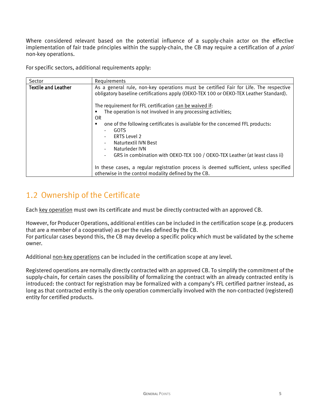Where considered relevant based on the potential influence of a supply-chain actor on the effective implementation of fair trade principles within the supply-chain, the CB may require a certification of a priori non-key operations.

For specific sectors, additional requirements apply:

| Sector                     | Requirements                                                                                                                                                                   |
|----------------------------|--------------------------------------------------------------------------------------------------------------------------------------------------------------------------------|
| <b>Textile and Leather</b> | As a general rule, non-key operations must be certified Fair for Life. The respective<br>obligatory baseline certifications apply (OEKO-TEX 100 or OEKO-TEX Leather Standard). |
|                            | The requirement for FFL certification can be waived if:                                                                                                                        |
|                            | The operation is not involved in any processing activities;                                                                                                                    |
|                            | 0R                                                                                                                                                                             |
|                            | one of the following certificates is available for the concerned FFL products:                                                                                                 |
|                            | <b>GOTS</b>                                                                                                                                                                    |
|                            | ERTS Level 2                                                                                                                                                                   |
|                            | Naturtextil IVN Best                                                                                                                                                           |
|                            | Naturleder IVN                                                                                                                                                                 |
|                            | GRS in combination with OEKO-TEX 100 / OEKO-TEX Leather (at least class ii)                                                                                                    |
|                            | In these cases, a regular registration process is deemed sufficient, unless specified<br>otherwise in the control modality defined by the CB.                                  |

## <span id="page-4-0"></span>1.2 Ownership of the Certificate

Each key operation must own its certificate and must be directly contracted with an approved CB.

However, for Producer Operations, additional entities can be included in the certification scope (e.g. producers that are a member of a cooperative) as per the rules defined by the CB.

For particular cases beyond this, the CB may develop a specific policy which must be validated by the scheme owner.

Additional non-key operations can be included in the certification scope at any level.

Registered operations are normally directly contracted with an approved CB. To simplify the commitment of the supply-chain, for certain cases the possibility of formalizing the contract with an already contracted entity is introduced: the contract for registration may be formalized with a company's FFL certified partner instead, as long as that contracted entity is the only operation commercially involved with the non-contracted (registered) entity for certified products.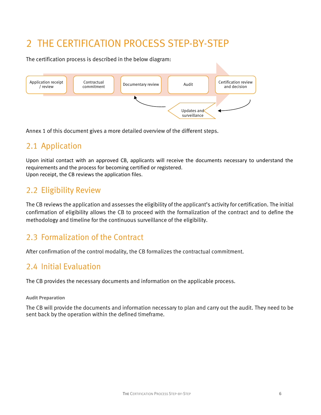# <span id="page-5-0"></span>2 THE CERTIFICATION PROCESS STEP-BY-STEP

The certification process is described in the below diagram:



Annex 1 of this document gives a more detailed overview of the different steps.

## <span id="page-5-1"></span>2.1 Application

Upon initial contact with an approved CB, applicants will receive the documents necessary to understand the requirements and the process for becoming certified or registered. Upon receipt, the CB reviews the application files.

#### <span id="page-5-2"></span>2.2 Eligibility Review

The CB reviews the application and assesses the eligibility of the applicant's activity for certification. The initial confirmation of eligibility allows the CB to proceed with the formalization of the contract and to define the methodology and timeline for the continuous surveillance of the eligibility.

## <span id="page-5-3"></span>2.3 Formalization of the Contract

After confirmation of the control modality, the CB formalizes the contractual commitment.

#### <span id="page-5-4"></span>2.4 Initial Evaluation

The CB provides the necessary documents and information on the applicable process.

#### **Audit Preparation**

The CB will provide the documents and information necessary to plan and carry out the audit. They need to be sent back by the operation within the defined timeframe.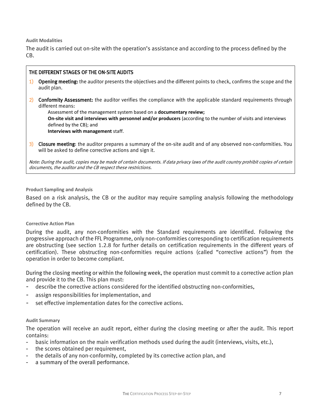**Audit Modalities**

The audit is carried out on-site with the operation's assistance and according to the process defined by the CB.

#### THE DIFFERENT STAGES OF THE ON-SITE AUDITS

- 1) Opening meeting: the auditor presents the objectives and the different points to check, confirms the scope and the audit plan.
- 2) Conformity Assessment: the auditor verifies the compliance with the applicable standard requirements through different means:

Assessment of the management system based on a **documentary review;**

**On-site visit and interviews with personnel and/or producers** (according to the number of visits and interviews defined by the CB); and

**Interviews with management** staff.

3) Closure meeting: the auditor prepares a summary of the on-site audit and of any observed non-conformities. You will be asked to define corrective actions and sign it.

Note: During the audit, copies may be made of certain documents. If data privacy laws of the audit country prohibit copies of certain documents, the auditor and the CB respect these restrictions.

#### **Product Sampling and Analysis**

Based on a risk analysis, the CB or the auditor may require sampling analysis following the methodology defined by the CB.

#### **Corrective Action Plan**

During the audit, any non-conformities with the Standard requirements are identified. Following the progressive approach of the FFL Programme, only non-conformities corresponding to certification requirements are obstructing (see section 1.2.8 for further details on certification requirements in the different years of certification). These obstructing non-conformities require actions (called "corrective actions") from the operation in order to become compliant.

During the closing meeting or within the following week, the operation must commit to a corrective action plan and provide it to the CB. This plan must:

- describe the corrective actions considered for the identified obstructing non-conformities,
- assign responsibilities for implementation, and
- set effective implementation dates for the corrective actions.

#### **Audit Summary**

The operation will receive an audit report, either during the closing meeting or after the audit. This report contains:

- basic information on the main verification methods used during the audit (interviews, visits, etc.),
- the scores obtained per requirement,
- the details of any non-conformity, completed by its corrective action plan, and
- a summary of the overall performance.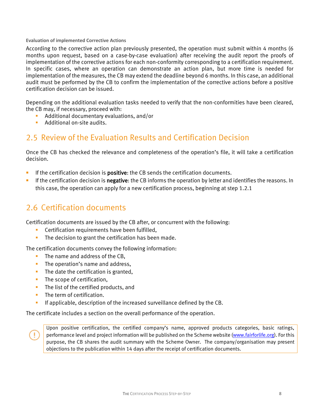#### **Evaluation of implemented Corrective Actions**

According to the corrective action plan previously presented, the operation must submit within 4 months (6 months upon request, based on a case-by-case evaluation) after receiving the audit report the proofs of implementation of the corrective actions for each non-conformity corresponding to a certification requirement. In specific cases, where an operation can demonstrate an action plan, but more time is needed for implementation of the measures, the CB may extend the deadline beyond 6 months. In this case, an additional audit must be performed by the CB to confirm the implementation of the corrective actions before a positive certification decision can be issued.

Depending on the additional evaluation tasks needed to verify that the non-conformities have been cleared, the CB may, if necessary, proceed with:

- **Additional documentary evaluations, and/or**
- **Additional on-site audits.**

#### <span id="page-7-0"></span>2.5 Review of the Evaluation Results and Certification Decision

Once the CB has checked the relevance and completeness of the operation's file, it will take a certification decision.

- **If the certification decision is positive:** the CB sends the certification documents.
- If the certification decision is negative: the CB informs the operation by letter and identifies the reasons. In this case, the operation can apply for a new certification process, beginning at step 1.2.1

### <span id="page-7-1"></span>2.6 Certification documents

Certification documents are issued by the CB after, or concurrent with the following:

- **EXEC** Certification requirements have been fulfilled,
- The decision to grant the certification has been made.

The certification documents convey the following information:

- **The name and address of the CB.**
- **The operation's name and address.**
- $\blacksquare$  The date the certification is granted,
- **The scope of certification,**
- The list of the certified products, and
- **The term of certification.**
- If applicable, description of the increased surveillance defined by the CB.

The certificate includes a section on the overall performance of the operation.

Upon positive certification, the certified company's name, approved products categories, basic ratings, performance level and project information will be published on the Scheme website [\(www.fairforlife.org\)](http://www.fairforlife.org/). For this purpose, the CB shares the audit summary with the Scheme Owner. The company/organisation may present objections to the publication within 14 days after the receipt of certification documents.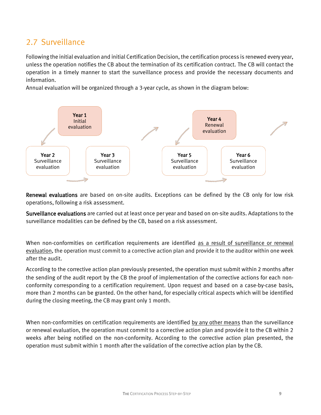### <span id="page-8-0"></span>2.7 Surveillance

Following the initial evaluation and initial Certification Decision, the certification process is renewed every year, unless the operation notifies the CB about the termination of its certification contract. The CB will contact the operation in a timely manner to start the surveillance process and provide the necessary documents and information.

Annual evaluation will be organized through a 3-year cycle, as shown in the diagram below:



Renewal evaluations are based on on-site audits. Exceptions can be defined by the CB only for low risk operations, following a risk assessment.

Surveillance evaluations are carried out at least once per year and based on on-site audits. Adaptations to the surveillance modalities can be defined by the CB, based on a risk assessment.

When non-conformities on certification requirements are identified as a result of surveillance or renewal evaluation, the operation must commit to a corrective action plan and provide it to the auditor within one week after the audit.

According to the corrective action plan previously presented, the operation must submit within 2 months after the sending of the audit report by the CB the proof of implementation of the corrective actions for each nonconformity corresponding to a certification requirement. Upon request and based on a case-by-case basis, more than 2 months can be granted. On the other hand, for especially critical aspects which will be identified during the closing meeting, the CB may grant only 1 month.

When non-conformities on certification requirements are identified by any other means than the surveillance or renewal evaluation, the operation must commit to a corrective action plan and provide it to the CB within 2 weeks after being notified on the non-conformity. According to the corrective action plan presented, the operation must submit within 1 month after the validation of the corrective action plan by the CB.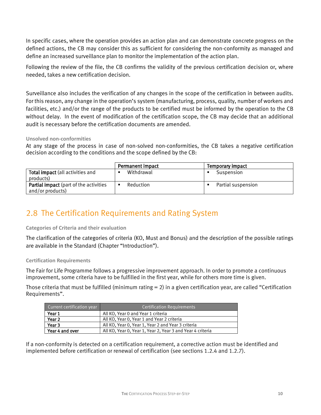In specific cases, where the operation provides an action plan and can demonstrate concrete progress on the defined actions, the CB may consider this as sufficient for considering the non-conformity as managed and define an increased surveillance plan to monitor the implementation of the action plan.

Following the review of the file, the CB confirms the validity of the previous certification decision or, where needed, takes a new certification decision.

Surveillance also includes the verification of any changes in the scope of the certification in between audits. For this reason, any change in the operation's system (manufacturing, process, quality, number of workers and facilities, etc.) and/or the range of the products to be certified must be informed by the operation to the CB without delay. In the event of modification of the certification scope, the CB may decide that an additional audit is necessary before the certification documents are amended.

**Unsolved non-conformities**

At any stage of the process in case of non-solved non-conformities, the CB takes a negative certification decision according to the conditions and the scope defined by the CB:

|                                                                   | Permanent impact | Temporary impact   |
|-------------------------------------------------------------------|------------------|--------------------|
| Total impact (all activities and<br>products)                     | Withdrawal       | Suspension         |
| <b>Partial impact</b> (part of the activities<br>and/or products) | Reduction        | Partial suspension |

## <span id="page-9-0"></span>2.8 The Certification Requirements and Rating System

**Categories of Criteria and their evaluation**

The clarification of the categories of criteria (KO, Must and Bonus) and the description of the possible ratings are available in the Standard (Chapter "Introduction").

#### **Certification Requirements**

The Fair for Life Programme follows a progressive improvement approach. In order to promote a continuous improvement, some criteria have to be fulfilled in the first year, while for others more time is given.

Those criteria that must be fulfilled (minimum rating = 2) in a given certification year, are called "Certification Requirements".

| Current certification year | <b>Certification Requirements</b>                          |
|----------------------------|------------------------------------------------------------|
| Year 1                     | All KO, Year 0 and Year 1 criteria                         |
| Year <sub>2</sub>          | All KO, Year 0, Year 1 and Year 2 criteria                 |
| Year 3                     | All KO, Year 0, Year 1, Year 2 and Year 3 criteria         |
| Year 4 and over            | All KO, Year 0, Year 1, Year 2, Year 3 and Year 4 criteria |

If a non-conformity is detected on a certification requirement, a corrective action must be identified and implemented before certification or renewal of certification (see sections 1.2.4 and 1.2.7).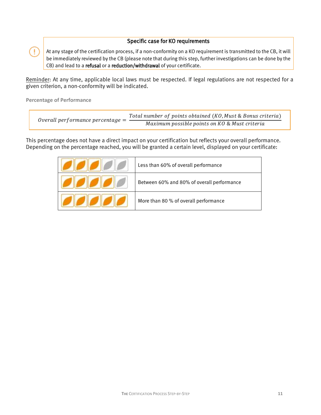#### Specific case for KO requirements

At any stage of the certification process, if a non-conformity on a KO requirement is transmitted to the CB, it will be immediately reviewed by the CB (please note that during this step, further investigations can be done by the CB) and lead to a refusal or a reduction/withdrawal of your certificate.

Reminder: At any time, applicable local laws must be respected. If legal regulations are not respected for a given criterion, a non-conformity will be indicated.

**Percentage of Performance**

÷

| Overall performance percentage $=$ | Total number of points obtained (KO, Must & Bonus criteria) |
|------------------------------------|-------------------------------------------------------------|
|                                    | Maximum possible points on KO & Must criteria               |

This percentage does not have a direct impact on your certification but reflects your overall performance. Depending on the percentage reached, you will be granted a certain level, displayed on your certificate:

| Less than 60% of overall performance       |
|--------------------------------------------|
| Between 60% and 80% of overall performance |
| More than 80 % of overall performance      |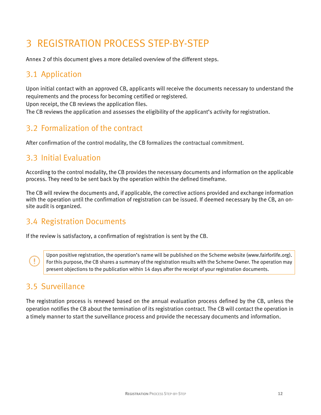# <span id="page-11-0"></span>3 REGISTRATION PROCESS STEP-BY-STEP

Annex 2 of this document gives a more detailed overview of the different steps.

## <span id="page-11-1"></span>3.1 Application

Upon initial contact with an approved CB, applicants will receive the documents necessary to understand the requirements and the process for becoming certified or registered.

Upon receipt, the CB reviews the application files.

The CB reviews the application and assesses the eligibility of the applicant's activity for registration.

## <span id="page-11-2"></span>3.2 Formalization of the contract

After confirmation of the control modality, the CB formalizes the contractual commitment.

## <span id="page-11-3"></span>3.3 Initial Evaluation

According to the control modality, the CB provides the necessary documents and information on the applicable process. They need to be sent back by the operation within the defined timeframe.

The CB will review the documents and, if applicable, the corrective actions provided and exchange information with the operation until the confirmation of registration can be issued. If deemed necessary by the CB, an onsite audit is organized.

## <span id="page-11-4"></span>3.4 Registration Documents

If the review is satisfactory, a confirmation of registration is sent by the CB.

Upon positive registration, the operation's name will be published on the Scheme website (www.fairforlife.org). For this purpose, the CB shares a summary of the registration results with the Scheme Owner. The operation may present objections to the publication within 14 days after the receipt of your registration documents.

## <span id="page-11-5"></span>3.5 Surveillance

The registration process is renewed based on the annual evaluation process defined by the CB, unless the operation notifies the CB about the termination of its registration contract. The CB will contact the operation in a timely manner to start the surveillance process and provide the necessary documents and information.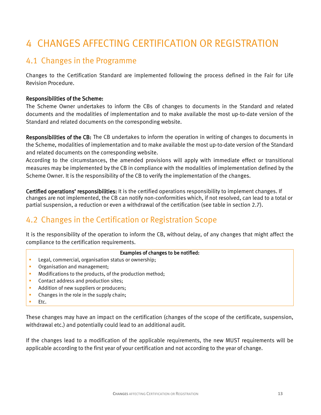# <span id="page-12-0"></span>4 CHANGES AFFECTING CERTIFICATION OR REGISTRATION

## <span id="page-12-1"></span>4.1 Changes in the Programme

Changes to the Certification Standard are implemented following the process defined in the Fair for Life Revision Procedure.

#### Responsibilities of the Scheme:

The Scheme Owner undertakes to inform the CBs of changes to documents in the Standard and related documents and the modalities of implementation and to make available the most up-to-date version of the Standard and related documents on the corresponding website.

Responsibilities of the CB: The CB undertakes to inform the operation in writing of changes to documents in the Scheme, modalities of implementation and to make available the most up-to-date version of the Standard and related documents on the corresponding website.

According to the circumstances, the amended provisions will apply with immediate effect or transitional measures may be implemented by the CB in compliance with the modalities of implementation defined by the Scheme Owner. It is the responsibility of the CB to verify the implementation of the changes.

Certified operations' responsibilities: It is the certified operations responsibility to implement changes. If changes are not implemented, the CB can notify non-conformities which, if not resolved, can lead to a total or partial suspension, a reduction or even a withdrawal of the certification (see table in section 2.7).

## <span id="page-12-2"></span>4.2 Changes in the Certification or Registration Scope

It is the responsibility of the operation to inform the CB, without delay, of any changes that might affect the compliance to the certification requirements.

#### Examples of changes to be notified:

- **Legal, commercial, organisation status or ownership;**
- **•** Organisation and management;
- Modifications to the products, of the production method;
- **Contact address and production sites:**
- Addition of new suppliers or producers;
- Changes in the role in the supply chain;
- Etc.

These changes may have an impact on the certification (changes of the scope of the certificate, suspension, withdrawal etc.) and potentially could lead to an additional audit.

If the changes lead to a modification of the applicable requirements, the new MUST requirements will be applicable according to the first year of your certification and not according to the year of change.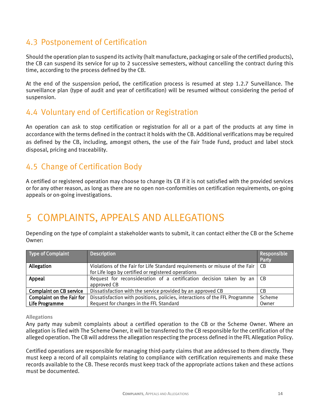#### <span id="page-13-0"></span>4.3 Postponement of Certification

Should the operation plan to suspend its activity (halt manufacture, packaging or sale of the certified products), the CB can suspend its service for up to 2 successive semesters, without cancelling the contract during this time, according to the process defined by the CB.

At the end of the suspension period, the certification process is resumed at step 1.2.7 Surveillance. The surveillance plan (type of audit and year of certification) will be resumed without considering the period of suspension.

#### <span id="page-13-1"></span>4.4 Voluntary end of Certification or Registration

An operation can ask to stop certification or registration for all or a part of the products at any time in accordance with the terms defined in the contract it holds with the CB. Additional verifications may be required as defined by the CB, including, amongst others, the use of the Fair Trade Fund, product and label stock disposal, pricing and traceability.

## <span id="page-13-2"></span>4.5 Change of Certification Body

A certified or registered operation may choose to change its CB if it is not satisfied with the provided services or for any other reason, as long as there are no open non-conformities on certification requirements, on-going appeals or on-going investigations.

# <span id="page-13-3"></span>5 COMPLAINTS, APPEALS AND ALLEGATIONS

Depending on the type of complaint a stakeholder wants to submit, it can contact either the CB or the Scheme Owner:

| Type of Complaint              | <b>Description</b>                                                                                                                 | Responsible<br>Party |
|--------------------------------|------------------------------------------------------------------------------------------------------------------------------------|----------------------|
| Allegation                     | Violations of the Fair for Life Standard requirements or misuse of the Fair<br>for Life logo by certified or registered operations | - CB                 |
|                                |                                                                                                                                    |                      |
| Appeal                         | Request for reconsideration of a certification decision taken by an $ CB $                                                         |                      |
|                                | approved CB                                                                                                                        |                      |
| <b>Complaint on CB service</b> | Dissatisfaction with the service provided by an approved CB                                                                        | CB.                  |
| Complaint on the Fair for      | Dissatisfaction with positions, policies, interactions of the FFL Programme                                                        | Scheme               |
| Life Programme                 | Request for changes in the FFL Standard                                                                                            | Owner                |

#### **Allegations**

Any party may submit complaints about a certified operation to the CB or the Scheme Owner. Where an allegation is filed with The Scheme Owner, it will be transferred to the CB responsible for the certification of the alleged operation. The CB will address the allegation respecting the process defined in the FFL Allegation Policy.

Certified operations are responsible for managing third-party claims that are addressed to them directly. They must keep a record of all complaints relating to compliance with certification requirements and make these records available to the CB. These records must keep track of the appropriate actions taken and these actions must be documented.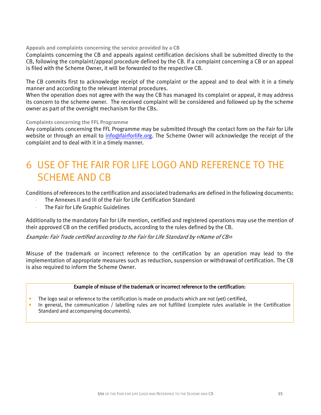#### **Appeals and complaints concerning the service provided by a CB**

Complaints concerning the CB and appeals against certification decisions shall be submitted directly to the CB, following the complaint/appeal procedure defined by the CB. If a complaint concerning a CB or an appeal is filed with the Scheme Owner, it will be forwarded to the respective CB.

The CB commits first to acknowledge receipt of the complaint or the appeal and to deal with it in a timely manner and according to the relevant internal procedures.

When the operation does not agree with the way the CB has managed its complaint or appeal, it may address its concern to the scheme owner. The received complaint will be considered and followed up by the scheme owner as part of the oversight mechanism for the CBs.

#### **Complaints concerning the FFL Programme**

Any complaints concerning the FFL Programme may be submitted through the contact form on the Fair for Life website or through an email to [info@fairforlife.org.](mailto:info@fairforlife.org) The Scheme Owner will acknowledge the receipt of the complaint and to deal with it in a timely manner.

# <span id="page-14-0"></span>6 USE OF THE FAIR FOR LIFE LOGO AND REFERENCE TO THE SCHEME AND CB

Conditions of references to the certification and associated trademarks are defined in the following documents:

- The Annexes II and III of the Fair for Life Certification Standard
- The Fair for Life Graphic Guidelines

Additionally to the mandatory Fair for Life mention, certified and registered operations may use the mention of their approved CB on the certified products, according to the rules defined by the CB.

Example: Fair Trade certified according to the Fair for Life Standard by «Name of CB»

Misuse of the trademark or incorrect reference to the certification by an operation may lead to the implementation of appropriate measures such as reduction, suspension or withdrawal of certification. The CB is also required to inform the Scheme Owner.

#### Example of misuse of the trademark or incorrect reference to the certification:

- The logo seal or reference to the certification is made on products which are not (yet) certified,
- In general, the communication / labelling rules are not fulfilled (complete rules available in the Certification Standard and accompanying documents).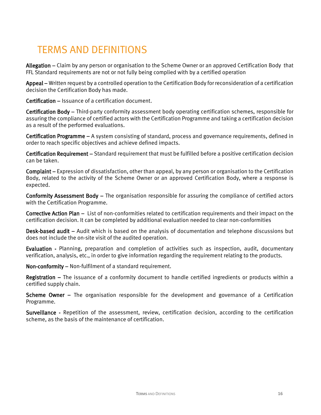# <span id="page-15-0"></span>TERMS AND DEFINITIONS

Allegation – Claim by any person or organisation to the Scheme Owner or an approved Certification Body that FFL Standard requirements are not or not fully being complied with by a certified operation

Appeal – Written request by a controlled operation to the Certification Body for reconsideration of a certification decision the Certification Body has made.

Certification – Issuance of a certification document.

Certification Body – Third-party conformity assessment body operating certification schemes, responsible for assuring the compliance of certified actors with the Certification Programme and taking a certification decision as a result of the performed evaluations.

Certification Programme – A system consisting of standard, process and governance requirements, defined in order to reach specific objectives and achieve defined impacts.

Certification Requirement – Standard requirement that must be fulfilled before a positive certification decision can be taken.

Complaint – Expression of dissatisfaction, other than appeal, by any person or organisation to the Certification Body, related to the activity of the Scheme Owner or an approved Certification Body, where a response is expected.

Conformity Assessment Body – The organisation responsible for assuring the compliance of certified actors with the Certification Programme.

Corrective Action Plan – List of non-conformities related to certification requirements and their impact on the certification decision. It can be completed by additional evaluation needed to clear non-conformities

Desk-based audit – Audit which is based on the analysis of documentation and telephone discussions but does not include the on-site visit of the audited operation.

Evaluation - Planning, preparation and completion of activities such as inspection, audit, documentary verification, analysis, etc., in order to give information regarding the requirement relating to the products.

Non-conformity – Non-fulfilment of a standard requirement.

Registration – The issuance of a conformity document to handle certified ingredients or products within a certified supply chain.

Scheme Owner – The organisation responsible for the development and governance of a Certification Programme.

Surveillance - Repetition of the assessment, review, certification decision, according to the certification scheme, as the basis of the maintenance of certification.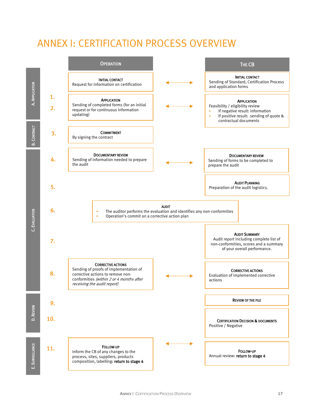# <span id="page-16-0"></span>ANNEX I: CERTIFICATION PROCESS OVERVIEW